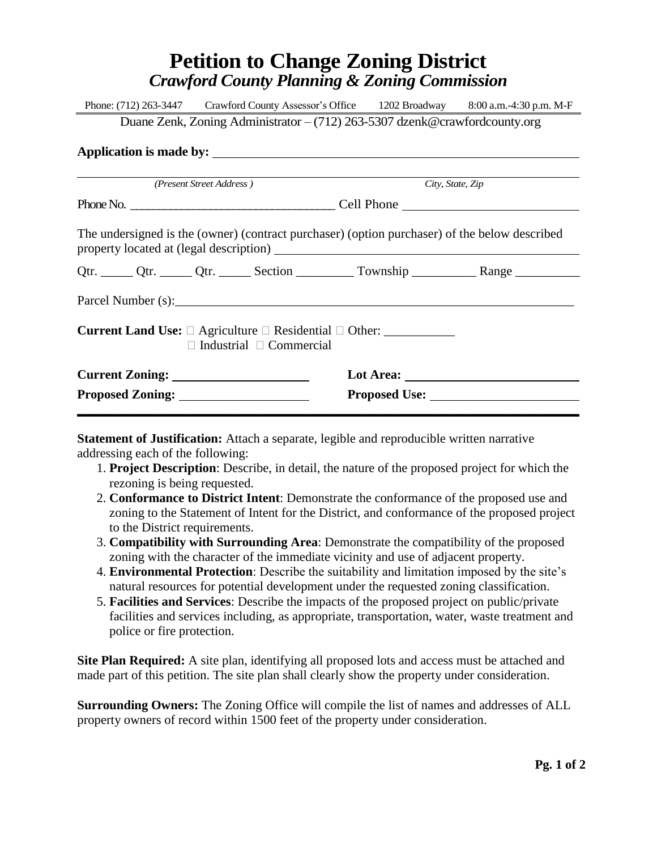## **Petition to Change Zoning District** *Crawford County Planning & Zoning Commission*

|                                                                                               |  |  |                  | Phone: (712) 263-3447 Crawford County Assessor's Office 1202 Broadway 8:00 a.m. -4:30 p.m. M-F |  |  |
|-----------------------------------------------------------------------------------------------|--|--|------------------|------------------------------------------------------------------------------------------------|--|--|
| Duane Zenk, Zoning Administrator $-(712)$ 263-5307 dzenk@crawfordcounty.org                   |  |  |                  |                                                                                                |  |  |
|                                                                                               |  |  |                  |                                                                                                |  |  |
|                                                                                               |  |  |                  |                                                                                                |  |  |
| (Present Street Address)                                                                      |  |  | City, State, Zip |                                                                                                |  |  |
|                                                                                               |  |  |                  |                                                                                                |  |  |
| The undersigned is the (owner) (contract purchaser) (option purchaser) of the below described |  |  |                  |                                                                                                |  |  |
|                                                                                               |  |  |                  | Qtr. ______ Qtr. ______ Qtr. ______ Section _________ Township ____________ Range ___________  |  |  |
|                                                                                               |  |  |                  |                                                                                                |  |  |
| $\Box$ Industrial $\Box$ Commercial                                                           |  |  |                  |                                                                                                |  |  |
|                                                                                               |  |  |                  |                                                                                                |  |  |
|                                                                                               |  |  |                  |                                                                                                |  |  |
|                                                                                               |  |  |                  |                                                                                                |  |  |

**Statement of Justification:** Attach a separate, legible and reproducible written narrative addressing each of the following:

- 1. **Project Description**: Describe, in detail, the nature of the proposed project for which the rezoning is being requested.
- 2. **Conformance to District Intent**: Demonstrate the conformance of the proposed use and zoning to the Statement of Intent for the District, and conformance of the proposed project to the District requirements.
- 3. **Compatibility with Surrounding Area**: Demonstrate the compatibility of the proposed zoning with the character of the immediate vicinity and use of adjacent property.
- 4. **Environmental Protection**: Describe the suitability and limitation imposed by the site's natural resources for potential development under the requested zoning classification.
- 5. **Facilities and Services**: Describe the impacts of the proposed project on public/private facilities and services including, as appropriate, transportation, water, waste treatment and police or fire protection.

**Site Plan Required:** A site plan, identifying all proposed lots and access must be attached and made part of this petition. The site plan shall clearly show the property under consideration.

**Surrounding Owners:** The Zoning Office will compile the list of names and addresses of ALL property owners of record within 1500 feet of the property under consideration.